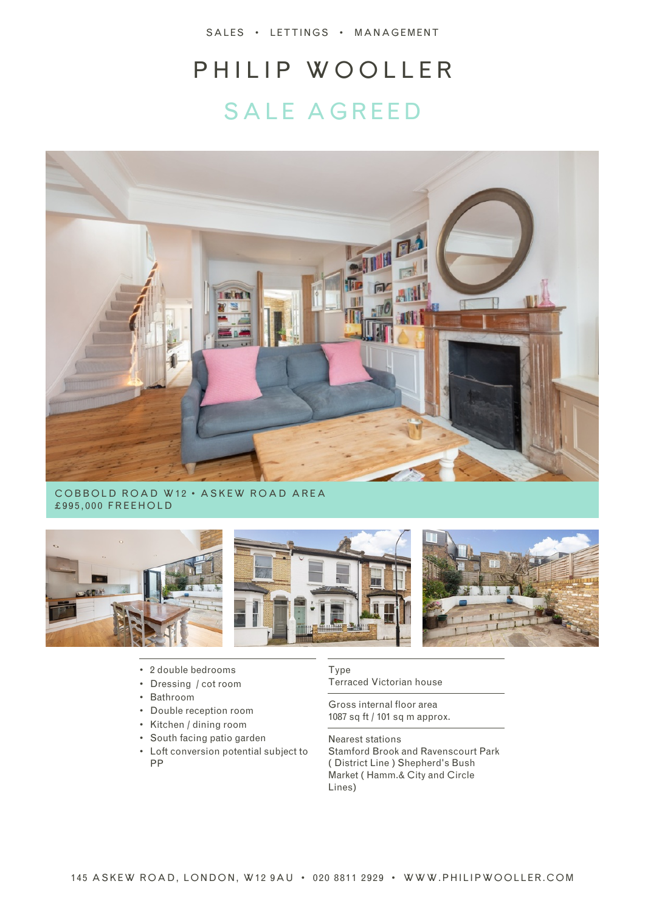SALES • LETTINGS • MANAGEMENT

# PHILIP WOOLLER SALE AGREED



COBBOLD ROAD W12 • ASKEW ROAD AREA £995,000 FREEHOLD



- 2 double bedrooms
- Dressing / cot room
- Bathroom
- Double reception room
- Kitchen / dining room
- South facing patio garden
- Loft conversion potential subject to PP

Type Terraced Victorian house

Gross internal floor area 1087 sq ft / 101 sq m approx.

Nearest stations Stamford Brook and Ravenscourt Park ( District Line ) Shepherd's Bush Market ( Hamm.& City and Circle Lines)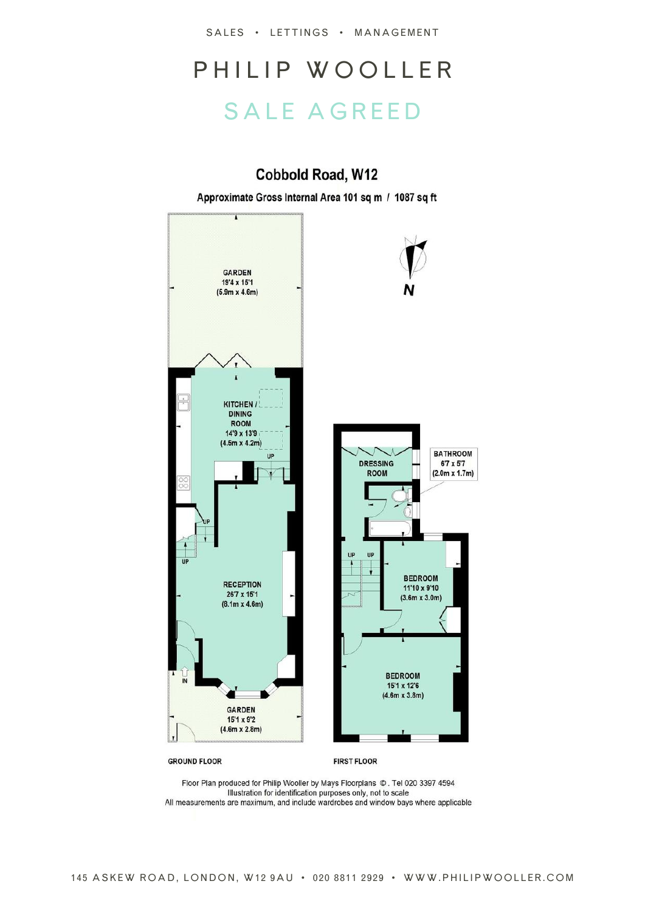SALES • LETTINGS • MANAGEMENT

### PHILIP WOOLLER SALE AGREED

#### Cobbold Road, W12

Approximate Gross Internal Area 101 sq m / 1087 sq ft



**GROUND FLOOR** 

**FIRST FLOOR** 

Floor Plan produced for Philip Wooller by Mays Floorplans ©. Tel 020 3397 4594 Illustration for identification purposes only, not to scale All measurements are maximum, and include wardrobes and window bays where applicable